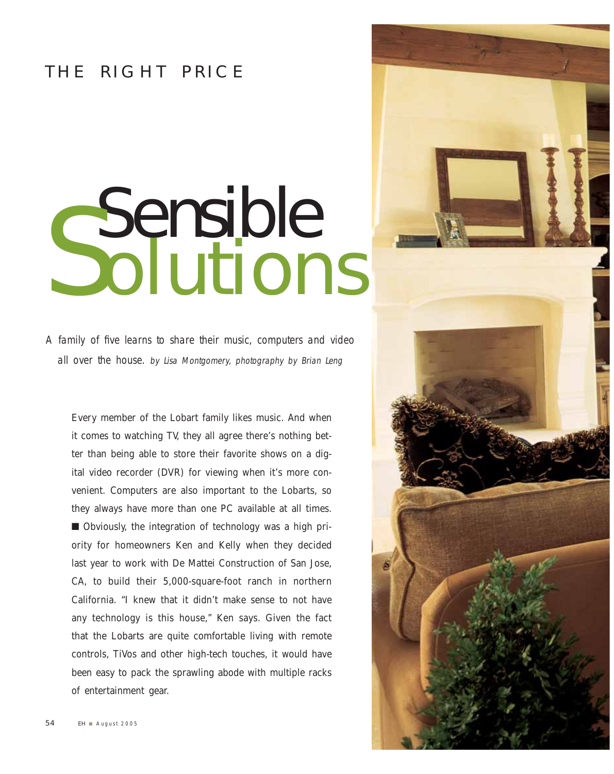## THE RIGHT PRICE

# Sensible **Solutions**

A family of five learns to share their music, computers and video all over the house. by Lisa Montgomery, photography by Brian Leng

Every member of the Lobart family likes music. And when it comes to watching TV, they all agree there's nothing better than being able to store their favorite shows on a digital video recorder (DVR) for viewing when it's more convenient. Computers are also important to the Lobarts, so they always have more than one PC available at all times. ■ Obviously, the integration of technology was a high priority for homeowners Ken and Kelly when they decided last year to work with De Mattei Construction of San Jose, CA, to build their 5,000-square-foot ranch in northern California. "I knew that it didn't make sense to not have any technology is this house," Ken says. Given the fact that the Lobarts are quite comfortable living with remote controls, TiVos and other high-tech touches, it would have been easy to pack the sprawling abode with multiple racks of entertainment gear.

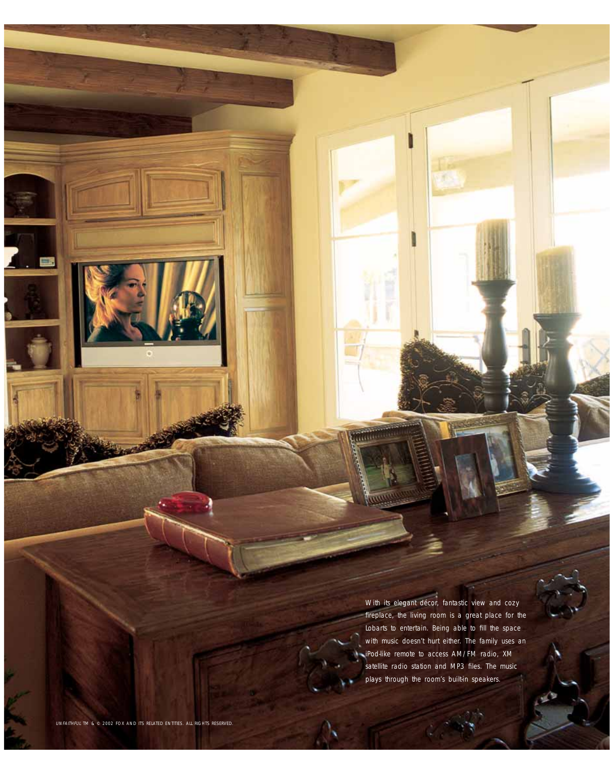With its elegant décor, fantastic view and cozy fireplace, the living room is a great place for the Lobarts to entertain. Being able to fill the space with music doesn't hurt either. The family uses an iPod-like remote to access AM/FM radio, XM satellite radio station and MP3 files. The music plays through the room's built-in speakers.

**Million** 

ElectronicHouse.com 55

Z.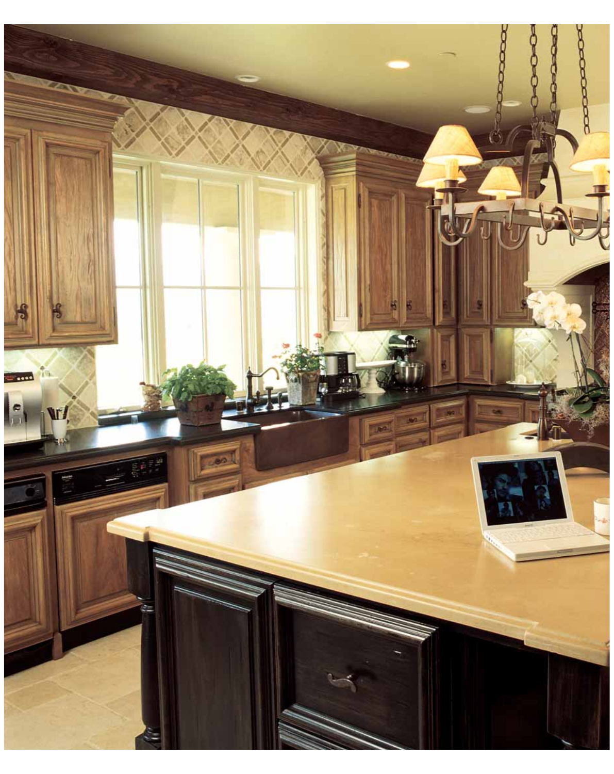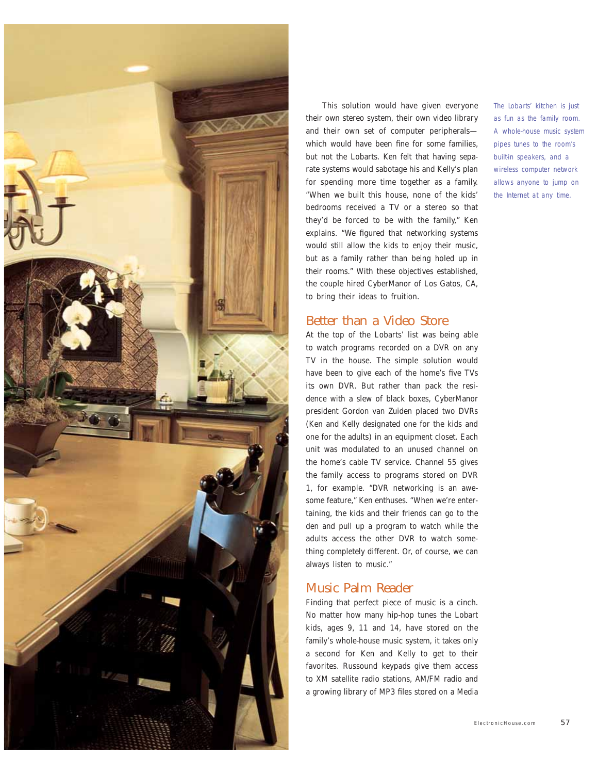

This solution would have given everyone their own stereo system, their own video library and their own set of computer peripherals which would have been fine for some families, but not the Lobarts. Ken felt that having separate systems would sabotage his and Kelly's plan for spending more time together as a family. "When we built this house, none of the kids' bedrooms received a TV or a stereo so that they'd be forced to be with the family," Ken explains. "We figured that networking systems would still allow the kids to enjoy their music, but as a family rather than being holed up in their rooms." With these objectives established, the couple hired CyberManor of Los Gatos, CA, to bring their ideas to fruition.

#### Better than a Video Store

At the top of the Lobarts' list was being able to watch programs recorded on a DVR on any TV in the house. The simple solution would have been to give each of the home's five TVs its own DVR. But rather than pack the residence with a slew of black boxes, CyberManor president Gordon van Zuiden placed two DVRs (Ken and Kelly designated one for the kids and one for the adults) in an equipment closet. Each unit was modulated to an unused channel on the home's cable TV service. Channel 55 gives the family access to programs stored on DVR 1, for example. "DVR networking is an awesome feature," Ken enthuses. "When we're entertaining, the kids and their friends can go to the den and pull up a program to watch while the adults access the other DVR to watch something completely different. Or, of course, we can always listen to music."

#### Music Palm Reader

Finding that perfect piece of music is a cinch. No matter how many hip-hop tunes the Lobart kids, ages 9, 11 and 14, have stored on the family's whole-house music system, it takes only a second for Ken and Kelly to get to their favorites. Russound keypads give them access to XM satellite radio stations, AM/FM radio and a growing library of MP3 files stored on a Media The Lobarts' kitchen is just as fun as the family room. A whole-house music system pipes tunes to the room's built-in speakers, and a wireless computer network allows anyone to jump on the Internet at any time.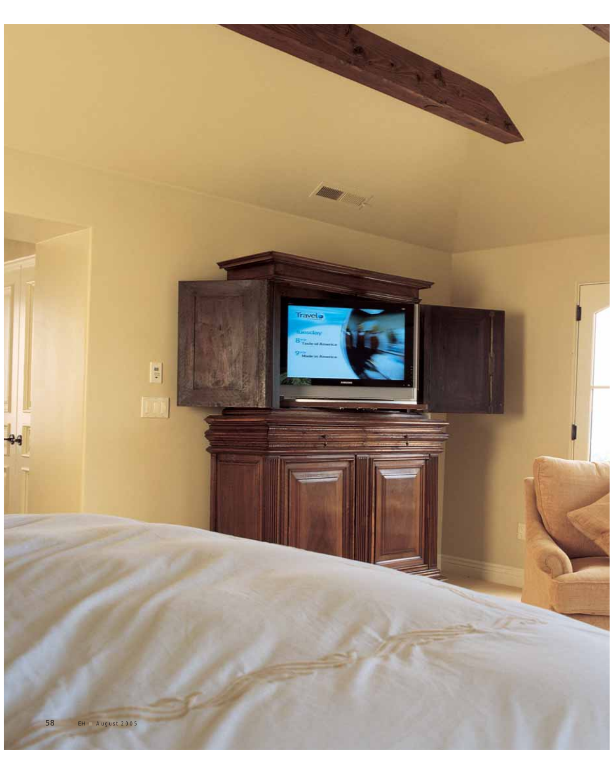